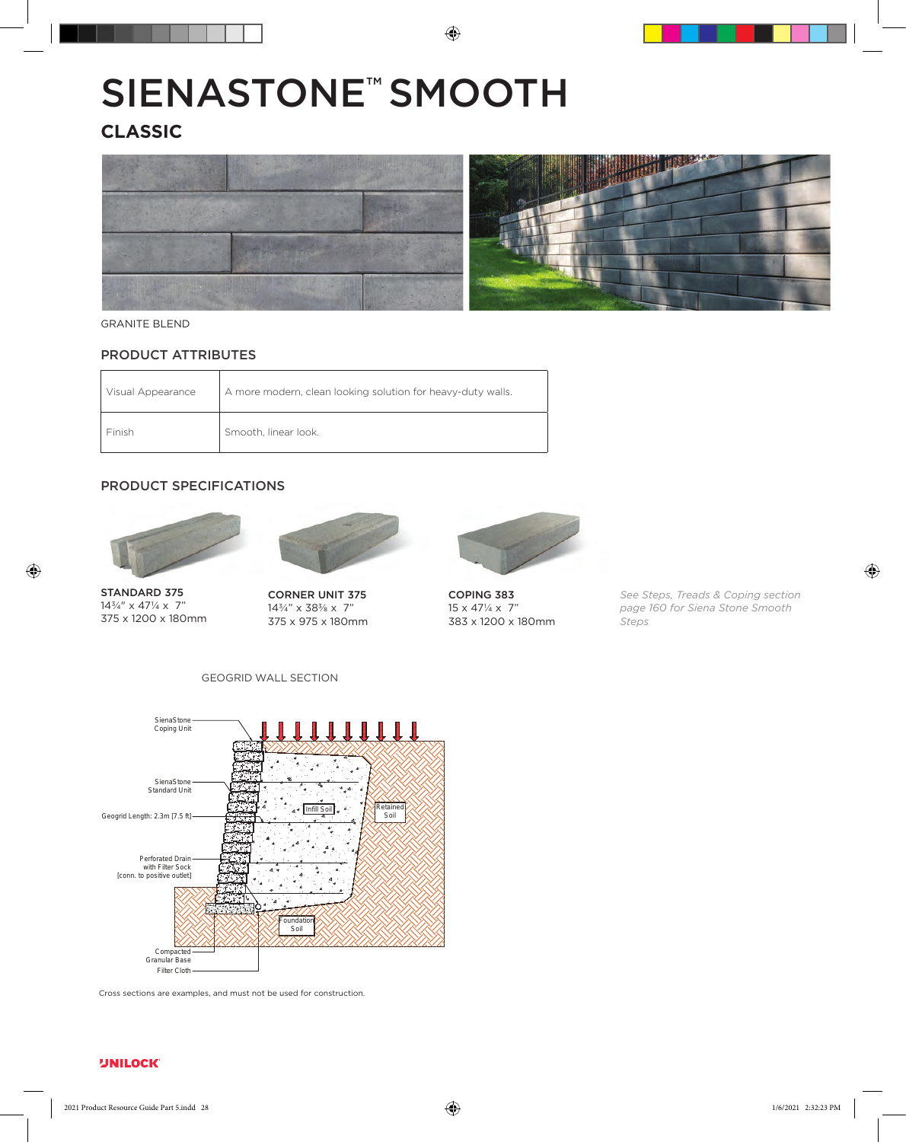# SIENASTONE<sup>™</sup> SMOOTH

## **CLASSIC**



#### **GRANITE BLEND**

### PRODUCT ATTRIBUTES

| Visual Appearance | A more modern, clean looking solution for heavy-duty walls. |
|-------------------|-------------------------------------------------------------|
| Finish            | Smooth, linear look.                                        |

#### PRODUCT SPECIFICATIONS



STANDARD 375 143/4" x 471/4 x 7" 375 x 1200 x 180mm



CORNER UNIT 375 143/4" x 383/8 x 7" 375 x 975 x 180mm



COPING 383  $15 \times 47\frac{1}{4} \times 7$ " 383 x 1200 x 180mm

*See Steps, Treads & Coping section page 160 for Siena Stone Smooth Steps*



GEOGRID WALL SECTION

Cross sections are examples, and must not be used for construction.